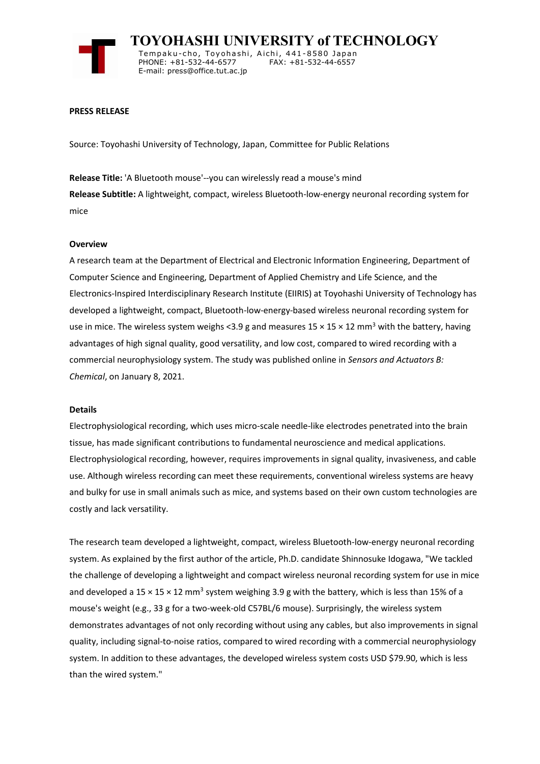

 **TOYOHASHI UNIVERSITY of TECHNOLOGY** Temp a k u-c h o , To y oh a shi , A i ch i , 4 41-858 0 Ja p an PHONE: +81-532-44-6577 E-mail: press@office.tut.ac.jp

### **PRESS RELEASE**

Source: Toyohashi University of Technology, Japan, Committee for Public Relations

**Release Title:** 'A Bluetooth mouse'--you can wirelessly read a mouse's mind **Release Subtitle:** A lightweight, compact, wireless Bluetooth-low-energy neuronal recording system for mice

### **Overview**

A research team at the Department of Electrical and Electronic Information Engineering, Department of Computer Science and Engineering, Department of Applied Chemistry and Life Science, and the Electronics-Inspired Interdisciplinary Research Institute (EIIRIS) at Toyohashi University of Technology has developed a lightweight, compact, Bluetooth-low-energy-based wireless neuronal recording system for use in mice. The wireless system weighs <3.9 g and measures  $15 \times 15 \times 12$  mm<sup>3</sup> with the battery, having advantages of high signal quality, good versatility, and low cost, compared to wired recording with a commercial neurophysiology system. The study was published online in *Sensors and Actuators B: Chemical*, on January 8, 2021.

#### **Details**

Electrophysiological recording, which uses micro-scale needle-like electrodes penetrated into the brain tissue, has made significant contributions to fundamental neuroscience and medical applications. Electrophysiological recording, however, requires improvements in signal quality, invasiveness, and cable use. Although wireless recording can meet these requirements, conventional wireless systems are heavy and bulky for use in small animals such as mice, and systems based on their own custom technologies are costly and lack versatility.

The research team developed a lightweight, compact, wireless Bluetooth-low-energy neuronal recording system. As explained by the first author of the article, Ph.D. candidate Shinnosuke Idogawa, "We tackled the challenge of developing a lightweight and compact wireless neuronal recording system for use in mice and developed a 15  $\times$  15  $\times$  12 mm<sup>3</sup> system weighing 3.9 g with the battery, which is less than 15% of a mouse's weight (e.g., 33 g for a two-week-old C57BL/6 mouse). Surprisingly, the wireless system demonstrates advantages of not only recording without using any cables, but also improvements in signal quality, including signal-to-noise ratios, compared to wired recording with a commercial neurophysiology system. In addition to these advantages, the developed wireless system costs USD \$79.90, which is less than the wired system."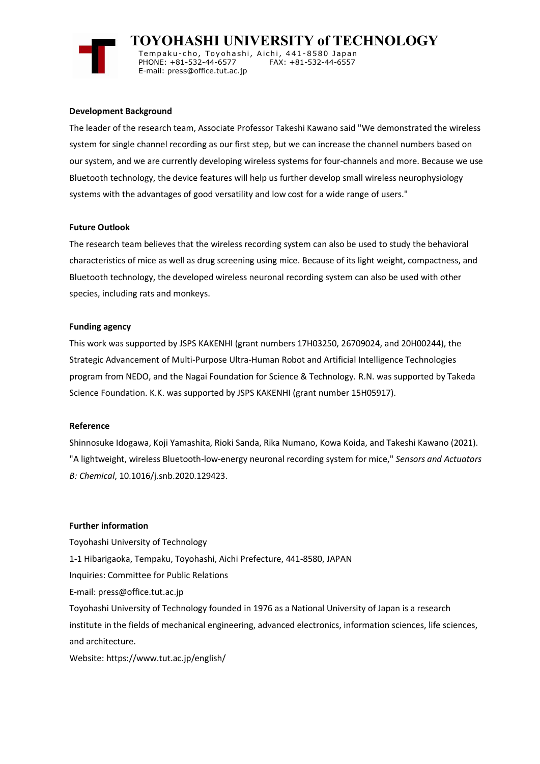

 **TOYOHASHI UNIVERSITY of TECHNOLOGY**

Tempaku-cho, Toyohashi, Aichi, 441-8580 Japan<br>PHONE: +81-532-44-6577 FAX: +81-532-44-6557 PHONE: +81-532-44-6577 E-mail: press@office.tut.ac.jp

### **Development Background**

The leader of the research team, Associate Professor Takeshi Kawano said "We demonstrated the wireless system for single channel recording as our first step, but we can increase the channel numbers based on our system, and we are currently developing wireless systems for four-channels and more. Because we use Bluetooth technology, the device features will help us further develop small wireless neurophysiology systems with the advantages of good versatility and low cost for a wide range of users."

## **Future Outlook**

The research team believes that the wireless recording system can also be used to study the behavioral characteristics of mice as well as drug screening using mice. Because of its light weight, compactness, and Bluetooth technology, the developed wireless neuronal recording system can also be used with other species, including rats and monkeys.

### **Funding agency**

This work was supported by JSPS KAKENHI (grant numbers 17H03250, 26709024, and 20H00244), the Strategic Advancement of Multi-Purpose Ultra-Human Robot and Artificial Intelligence Technologies program from NEDO, and the Nagai Foundation for Science & Technology. R.N. was supported by Takeda Science Foundation. K.K. was supported by JSPS KAKENHI (grant number 15H05917).

### **Reference**

Shinnosuke Idogawa, Koji Yamashita, Rioki Sanda, Rika Numano, Kowa Koida, and Takeshi Kawano (2021). "A lightweight, wireless Bluetooth-low-energy neuronal recording system for mice," *Sensors and Actuators B: Chemical*, 10.1016/j.snb.2020.129423.

### **Further information**

Toyohashi University of Technology 1-1 Hibarigaoka, Tempaku, Toyohashi, Aichi Prefecture, 441-8580, JAPAN Inquiries: Committee for Public Relations E-mail: press@office.tut.ac.jp Toyohashi University of Technology founded in 1976 as a National University of Japan is a research institute in the fields of mechanical engineering, advanced electronics, information sciences, life sciences, and architecture. Website: https://www.tut.ac.jp/english/